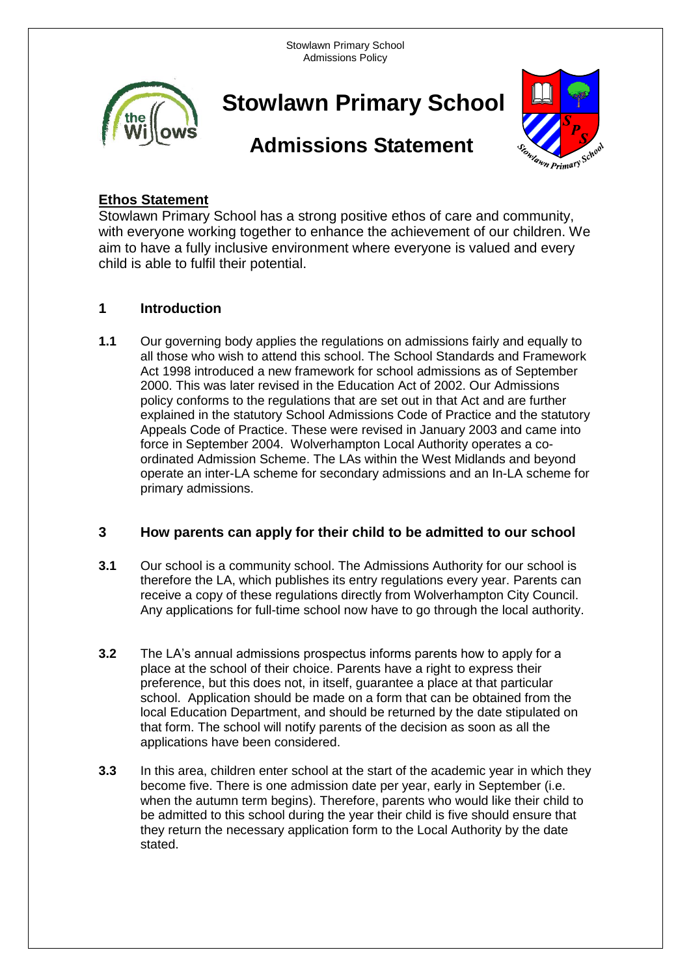Stowlawn Primary School Admissions Policy



**Stowlawn Primary School**

# **Admissions Statement**



## **Ethos Statement**

Stowlawn Primary School has a strong positive ethos of care and community, with everyone working together to enhance the achievement of our children. We aim to have a fully inclusive environment where everyone is valued and every child is able to fulfil their potential.

### **1 Introduction**

**1.1** Our governing body applies the regulations on admissions fairly and equally to all those who wish to attend this school. The School Standards and Framework Act 1998 introduced a new framework for school admissions as of September 2000. This was later revised in the Education Act of 2002. Our Admissions policy conforms to the regulations that are set out in that Act and are further explained in the statutory School Admissions Code of Practice and the statutory Appeals Code of Practice. These were revised in January 2003 and came into force in September 2004. Wolverhampton Local Authority operates a coordinated Admission Scheme. The LAs within the West Midlands and beyond operate an inter-LA scheme for secondary admissions and an In-LA scheme for primary admissions.

#### **3 How parents can apply for their child to be admitted to our school**

- **3.1** Our school is a community school. The Admissions Authority for our school is therefore the LA, which publishes its entry regulations every year. Parents can receive a copy of these regulations directly from Wolverhampton City Council. Any applications for full-time school now have to go through the local authority.
- **3.2** The LA's annual admissions prospectus informs parents how to apply for a place at the school of their choice. Parents have a right to express their preference, but this does not, in itself, guarantee a place at that particular school. Application should be made on a form that can be obtained from the local Education Department, and should be returned by the date stipulated on that form. The school will notify parents of the decision as soon as all the applications have been considered.
- **3.3** In this area, children enter school at the start of the academic year in which they become five. There is one admission date per year, early in September (i.e. when the autumn term begins). Therefore, parents who would like their child to be admitted to this school during the year their child is five should ensure that they return the necessary application form to the Local Authority by the date stated.